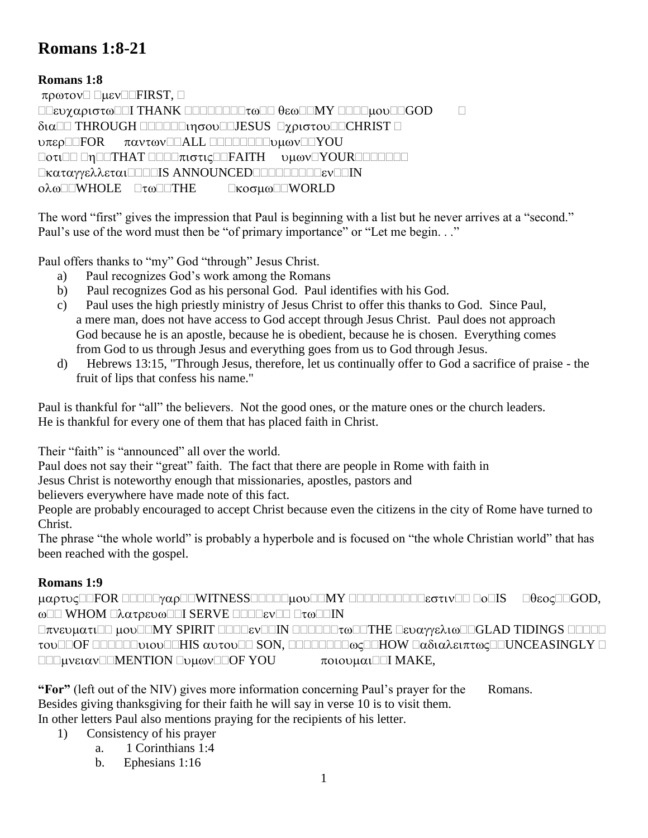# **Romans 1:8-21**

# **Romans 1:8**

 $\pi \rho \omega \tau \circ \nu \Box$   $\Box \mu \epsilon \nu \Box \Box$  FIRST,  $\Box$  $\square\square$ ευχαριστω $\square\square$  THANK  $\square\square\square\square\square\square\tau\omega\square\square$ θεω $\square\square\square\psi$ ου $\square\square\mathsf{GOD}$   $\square$  THROUGH JESUS CHRIST υπερ<br> **ΠΕΟΡΟΣ** παντων<br>
ΠΑΙΣ ΠΕΙΣ<br>
ΠΟΙΣ<br>
ΠΟΙΣ<br>
<u>ΠΟΙΣ</u><br>
ΠΟΙΣ<br>
<u>ΠΟΙΣ</u><br>
ΠΟΙΣ<br>
<u>ΠΟΙΣ</u><br>
ΠΟΙΣ<br>
<u>ΠΟΙΣ</u><br>
ΠΟΙΣ<br>
ΠΟΙΣ<br>
ΠΟΙΣ<br>
ΠΟΙΣ<br>
ΠΟΙΣ<br>
ΠΟΙΣ<br>
ΠΟΙΣ<br>
ΠΟΙΣ<br>
ΠΟΙΣ<br>
ΠΟΙΣ<br>
ΠΟΙΣ<br>
ΠΟΙΣ<br>
ΠΟΙΣ<br>
ΠΟΙΣ<br>
ΠΟΙΣ<br>
ΠΟΙΣ<br>
ΠΟΙΣ<br>
ΠΟΙΣ<br>
ΠΟΙΣ<br>
ΠΟΙΣ<br>
ΠΟΙΣ<br>  $\Box \sigma \tau \Box \Box \Box \text{THAT} \Box \Box \Box \pi \tau \sigma \tau \tau \Box \Box \text{FAITH} \qquad \text{by} \\ \text{ov} \Box \text{YOUR} \Box \Box \Box \Box \Box \Box$ **Πκαταγγελλεται ΠΕΠΙΣ ANNOUNCED ΠΕΠΕΠΕΠΕΙΣ ΤΟ ΠΙΝ** ολω<sup>Π</sup>WHOLE ΠτωΠΠΤΗΕ ΠκοσμωΠΠWORLD

The word "first" gives the impression that Paul is beginning with a list but he never arrives at a "second." Paul's use of the word must then be "of primary importance" or "Let me begin. . ."

Paul offers thanks to "my" God "through" Jesus Christ.

- a) Paul recognizes God's work among the Romans
- b) Paul recognizes God as his personal God. Paul identifies with his God.
- c) Paul uses the high priestly ministry of Jesus Christ to offer this thanks to God. Since Paul, a mere man, does not have access to God accept through Jesus Christ. Paul does not approach God because he is an apostle, because he is obedient, because he is chosen. Everything comes from God to us through Jesus and everything goes from us to God through Jesus.
- d) Hebrews 13:15, "Through Jesus, therefore, let us continually offer to God a sacrifice of praise the fruit of lips that confess his name."

Paul is thankful for "all" the believers. Not the good ones, or the mature ones or the church leaders. He is thankful for every one of them that has placed faith in Christ.

Their "faith" is "announced" all over the world.

Paul does not say their "great" faith. The fact that there are people in Rome with faith in

Jesus Christ is noteworthy enough that missionaries, apostles, pastors and

believers everywhere have made note of this fact.

People are probably encouraged to accept Christ because even the citizens in the city of Rome have turned to Christ.

The phrase "the whole world" is probably a hyperbole and is focused on "the whole Christian world" that has been reached with the gospel.

## **Romans 1:9**

 $\mu\alpha\rho\tau\upsilon\varsigma$  of the control with  $\text{ESS}$  and  $\mu\upsilon\upsilon$  and  $\text{S}$  and  $\text{S}$  and  $\text{S}$  and  $\text{S}$  and  $\text{S}$  and  $\text{S}$  and  $\text{S}$  and  $\text{S}$  and  $\text{S}$  and  $\text{S}$  and  $\text{S}$  and  $\text{S}$  and  $\text{S}$  and ωΠΠ WHOM ΠλατρευωΠΠΙ SERVE ΠΠΠΕΥΠΠ ΠτωΠΠΙΝ

 $\Box \pi$ v $\epsilon$ v $\mu$  $\alpha$ t $\Box \Box$  MY SPIRIT  $\Box \Box \Box \epsilon$ v $\Box \Box \Box \Box \Box \tau$ m $\Box \Box \tau$ m $\Box \Box \tau$ HE  $\Box \epsilon$ v $\alpha$ yy $\epsilon \lambda$ t $\omega$  $\Box$  $\Box$ GLAD TIDINGS  $\Box \Box \Box \Box$ TOULEOF ELECTRIC OUTDUMENT SON, ΕΠΕΙΣΕΙΣΦΑΡΙΑ ΠΑδιαλειπτως ΕΠΟΝΟΕΑSINGLY Ε  $\Box\Box\mu$ νειαν $\Box\Box\text{MENTION}\Box\text{u}\omega$ ν $\Box\Box\text{OF}$  YOU  $\pi$ οιουμαι $\Box\Box$  MAKE,

**"For"** (left out of the NIV) gives more information concerning Paul's prayer for the Romans. Besides giving thanksgiving for their faith he will say in verse 10 is to visit them.

In other letters Paul also mentions praying for the recipients of his letter.

- 1) Consistency of his prayer
	- a. 1 Corinthians 1:4
	- b. Ephesians 1:16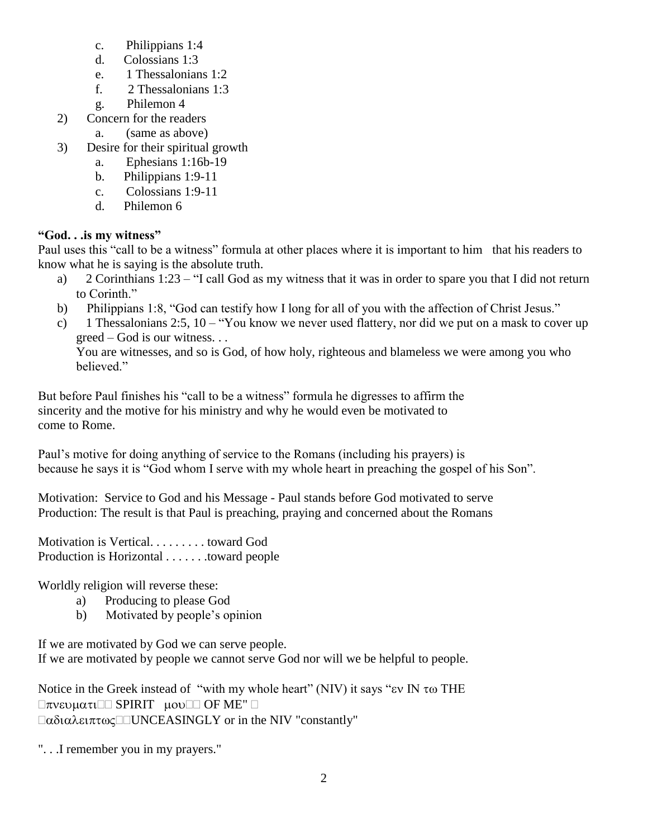- c. Philippians 1:4
- d. Colossians 1:3
- e. 1 Thessalonians 1:2
- f. 2 Thessalonians 1:3
- g. Philemon 4
- 2) Concern for the readers
	- a. (same as above)
- 3) Desire for their spiritual growth
	- a. Ephesians 1:16b-19
	- b. Philippians 1:9-11
	- c. Colossians 1:9-11
	- d. Philemon 6

# **"God. . .is my witness"**

Paul uses this "call to be a witness" formula at other places where it is important to him that his readers to know what he is saying is the absolute truth.

- a) 2 Corinthians 1:23 "I call God as my witness that it was in order to spare you that I did not return to Corinth."
- b) Philippians 1:8, "God can testify how I long for all of you with the affection of Christ Jesus."
- c) 1 Thessalonians 2:5, 10 "You know we never used flattery, nor did we put on a mask to cover up greed – God is our witness. . .

You are witnesses, and so is God, of how holy, righteous and blameless we were among you who believed."

But before Paul finishes his "call to be a witness" formula he digresses to affirm the sincerity and the motive for his ministry and why he would even be motivated to come to Rome.

Paul's motive for doing anything of service to the Romans (including his prayers) is because he says it is "God whom I serve with my whole heart in preaching the gospel of his Son".

Motivation: Service to God and his Message - Paul stands before God motivated to serve Production: The result is that Paul is preaching, praying and concerned about the Romans

Motivation is Vertical. . . . . . . . . toward God Production is Horizontal . . . . . . .toward people

Worldly religion will reverse these:

- a) Producing to please God
- b) Motivated by people's opinion

If we are motivated by God we can serve people. If we are motivated by people we cannot serve God nor will we be helpful to people.

Notice in the Greek instead of "with my whole heart" (NIV) it says " $\epsilon$ v IN  $\tau$  m THE  $\Box \pi$ νευματι $\Box \Box$  SPIRIT μου $\Box \Box$  OF ME"  $\Box$  $\Box \alpha \delta i \alpha \lambda \epsilon i \pi \tau \omega \varsigma \Box \Box \text{UNCEASINGLY}$  or in the NIV "constantly"

". . .I remember you in my prayers."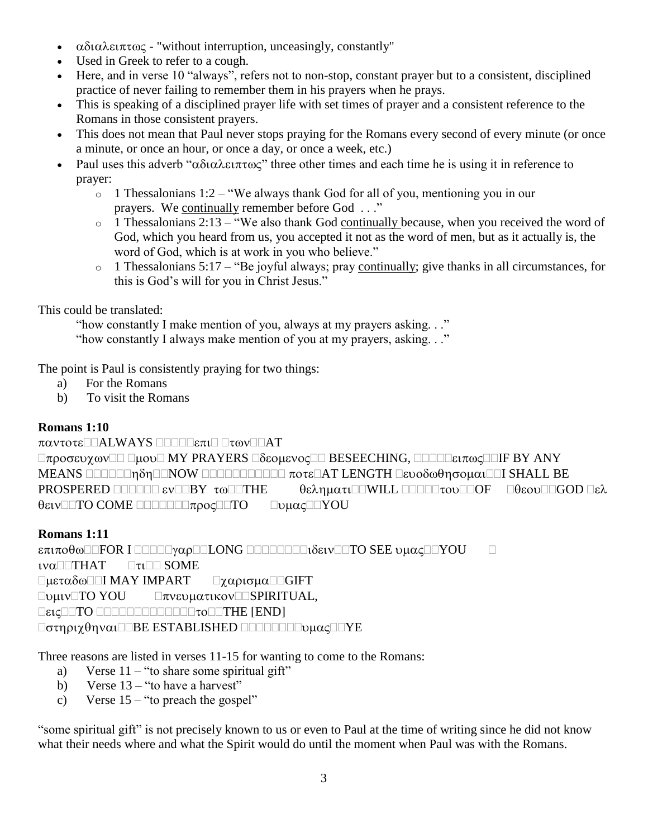- $\alpha\delta\iota\alpha\lambda\epsilon\iota\pi\tau\omega\varsigma$  "without interruption, unceasingly, constantly"
- Used in Greek to refer to a cough.
- Here, and in verse 10 "always", refers not to non-stop, constant prayer but to a consistent, disciplined practice of never failing to remember them in his prayers when he prays.
- This is speaking of a disciplined prayer life with set times of prayer and a consistent reference to the Romans in those consistent prayers.
- This does not mean that Paul never stops praying for the Romans every second of every minute (or once a minute, or once an hour, or once a day, or once a week, etc.)
- Paul uses this adverb " $\alpha\delta_1\alpha\lambda\epsilon_1\pi\alpha_0\alpha$ " three other times and each time he is using it in reference to prayer:
	- $\circ$  1 Thessalonians 1:2 "We always thank God for all of you, mentioning you in our prayers. We continually remember before God . . ."
	- $\circ$  1 Thessalonians 2:13 "We also thank God continually because, when you received the word of God, which you heard from us, you accepted it not as the word of men, but as it actually is, the word of God, which is at work in you who believe."
	- $\circ$  1 Thessalonians 5:17 "Be joyful always; pray continually; give thanks in all circumstances, for this is God's will for you in Christ Jesus."

This could be translated:

 "how constantly I make mention of you, always at my prayers asking. . ." "how constantly I always make mention of you at my prayers, asking. . ."

The point is Paul is consistently praying for two things:

- a) For the Romans
- b) To visit the Romans

## **Romans 1:10**

 $\pi\alpha\nu\tau$ ot $\epsilon\Box\Box\Delta L$ WAYS  $\Box\Box\Box\Box\epsilon\pi\iota\Box$  $\Box\tau\omega\nu\Box\Box AT$  $\Box \pi \rho$  og ev  $\chi \omega$   $\Box \Box$   $\Box \omega \Box$  MY PRAYERS  $\Box \delta$  so  $\mu$  ev  $\alpha \in \Box$  BESEECHING,  $\Box \Box \Box \Box \epsilon \iota \pi \omega \varsigma \Box \Box$  F BY ANY MEANS NOW AT LENGTH I SHALL BE PROSPERED **ELECTION**  $\tau \omega$  **EXALCONDED**  $\theta \epsilon \lambda \eta \mu \alpha \tau$  **ELECTIONE B**  $\theta \epsilon \omega$  **EQUALGOD B**  $\epsilon \lambda$  $\theta$ ειν $\square$ ΤΟ COME  $\square\square\square\square\square\square\square\tau$ ρος $\square\square$ ΤΟ  $\square$ υμας $\square\square$ ΥΟU

# **Romans 1:11**

 $\epsilon \pi \iota \pi \sigma \theta \omega$  FOR I DOOD  $\gamma \alpha \rho$  DOLONG DOOD DO  $\delta \epsilon \iota \nu$  DTO SEE  $\nu \mu \alpha \varsigma$  DYOU  $\iota\mathsf{v}\alpha$  THAT  $\Box\tau\iota$  SOME  $\Box \mu \epsilon \tau \alpha \delta \omega \Box \Box I$  MAY IMPART  $\Box \chi \alpha \rho \iota \sigma \mu \alpha \Box \Box GIFT$ TO YOU SPIRITUAL, TO THE [END]  $\Box$ στηριχθηναι $\Box$ BE ESTABLISHED  $\Box$  $\Box$  $\Box$  $\Box$  $\Box$  $\Box$  $\lor$  $\Box$  $\lor$ E

Three reasons are listed in verses 11-15 for wanting to come to the Romans:

- a) Verse  $11 -$  "to share some spiritual gift"
- b) Verse  $13 -$ "to have a harvest"
- c) Verse  $15 -$  "to preach the gospel"

"some spiritual gift" is not precisely known to us or even to Paul at the time of writing since he did not know what their needs where and what the Spirit would do until the moment when Paul was with the Romans.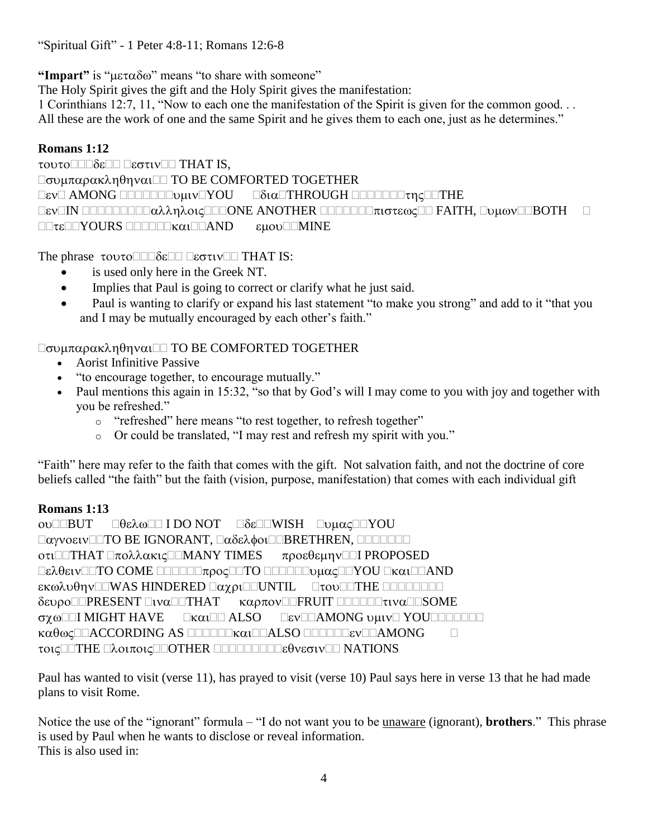"Spiritual Gift" - 1 Peter 4:8-11; Romans 12:6-8

"Impart" is " $\mu \varepsilon \tau \alpha \delta \omega$ " means "to share with someone"

The Holy Spirit gives the gift and the Holy Spirit gives the manifestation:

1 Corinthians 12:7, 11, "Now to each one the manifestation of the Spirit is given for the common good. . . All these are the work of one and the same Spirit and he gives them to each one, just as he determines."

# **Romans 1:12**

τουτο<sup>Π</sup>ΠδεΠΠ ΠεστινΠΠ THAT IS.  $\Box$ συμπαρακληθηναι $\Box$  TO BE COMFORTED TOGETHER AMONG YOU THROUGH THE IN ONE ANOTHER FAITH, BOTH  $\Box \Box \tau \epsilon \Box \Box \forall OURS \Box \Box \Box \Box \forall \alpha \iota \Box \Box \forall \text{AND}$   $\epsilon \mu \text{ov} \Box \Box MINE$ 

The phrase  $\tau$ OUTO $\square\square\delta\varepsilon\square\square\Box\varepsilon\sigma\tau\iota$  V $\square\square$  THAT IS:

- is used only here in the Greek NT.
- Implies that Paul is going to correct or clarify what he just said.
- Paul is wanting to clarify or expand his last statement "to make you strong" and add to it "that you and I may be mutually encouraged by each other's faith."

# $\Box$ συμπαρακληθηναι $\Box$  TO BE COMFORTED TOGETHER

- Aorist Infinitive Passive
- "to encourage together, to encourage mutually."
- Paul mentions this again in 15:32, "so that by God's will I may come to you with joy and together with you be refreshed."
	- o "refreshed" here means "to rest together, to refresh together"
	- o Or could be translated, "I may rest and refresh my spirit with you."

"Faith" here may refer to the faith that comes with the gift. Not salvation faith, and not the doctrine of core beliefs called "the faith" but the faith (vision, purpose, manifestation) that comes with each individual gift

## **Romans 1:13**

OULLBUT **ΠΘελω**ΠΙ DO NOT ΠδεΠΠWISH ΠυμαςΠΠΥΟU TO BE IGNORANT, BRETHREN,  $\sigma$ τι $\square$ THAT  $\square$ πολλακις $\square\square$ MANY TIMES προεθεμην $\square\square$ I PROPOSED  $\Box$ ελθειν $\Box$ ΤΟ COME  $\Box$  $\Box$  $\Box\Box\Box\pi$ ρος $\Box$ ΤΟ  $\Box\Box\Box\Box$  $\psi\mu\alpha\varsigma\Box\Box Y$ OU  $\Box$ κ $\alpha\iota\Box\Box$ AND  $\kappa\omega\lambda\upsilon\theta\eta\upsilon$  WAS HINDERED  $\Box\alpha\chi\rho\iota$  of UNTIL  $\Box\tau\upsilon\upsilon$  and  $\Box\tau$  HE  $\Box\Box\Box\Box\Box$ δευροΠΠΡRESENT ΠΙναΠΤΗΑΤ καρπονΠΠΕΝΗΤ ΠΠΠΠΠΤΙναΠΟSOME σχωΠΙ MIGHT HAVE **ΓκαιΠΠ ALSO** ΓενΠΠΑΜΟΝG υμινΠ ΥΟUΠΠΠΠΠΠ Kαθως□□ACCORDING AS □□□□□kαι□□ALSO □□□□□Eεν□□AMONG □ τοις ΠΕΙΤΗΕ Πλοιποις ΠΟΤΗΕΡ ΠΟΠΟΠΟΠΟΙΕθνεσιν ΠΟ NATIONS

Paul has wanted to visit (verse 11), has prayed to visit (verse 10) Paul says here in verse 13 that he had made plans to visit Rome.

Notice the use of the "ignorant" formula – "I do not want you to be unaware (ignorant), **brothers**." This phrase is used by Paul when he wants to disclose or reveal information. This is also used in: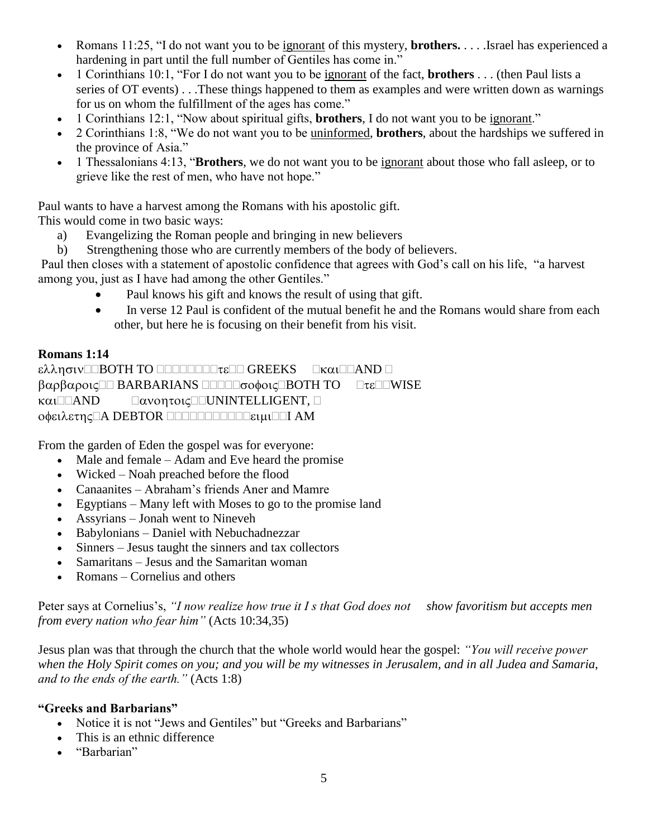- Romans 11:25, "I do not want you to be ignorant of this mystery, **brothers.** . . . .Israel has experienced a hardening in part until the full number of Gentiles has come in."
- 1 Corinthians 10:1, "For I do not want you to be ignorant of the fact, **brothers** . . . (then Paul lists a series of OT events) . . .These things happened to them as examples and were written down as warnings for us on whom the fulfillment of the ages has come."
- 1 Corinthians 12:1, "Now about spiritual gifts, **brothers**, I do not want you to be ignorant."
- 2 Corinthians 1:8, "We do not want you to be uninformed, **brothers**, about the hardships we suffered in the province of Asia."
- 1 Thessalonians 4:13, "**Brothers**, we do not want you to be ignorant about those who fall asleep, or to grieve like the rest of men, who have not hope."

Paul wants to have a harvest among the Romans with his apostolic gift.

This would come in two basic ways:

- a) Evangelizing the Roman people and bringing in new believers
- b) Strengthening those who are currently members of the body of believers.

Paul then closes with a statement of apostolic confidence that agrees with God's call on his life, "a harvest among you, just as I have had among the other Gentiles."

- Paul knows his gift and knows the result of using that gift.
- In verse 12 Paul is confident of the mutual benefit he and the Romans would share from each other, but here he is focusing on their benefit from his visit.

# **Romans 1:14**

ελλησιν<br> **GREEKS** Ekal AND Bαρβαροις **BARBARIANS BOLLO**σοφοις **BOTH TO** Dτε DWISE  $K\alpha\iota$  AND  $\Box\alpha$ vontoic  $\Box$  UNINTELLIGENT,  $\Box$ OΦειλετης Α DEBTOR ΠΟΠΟΠΟΠΟΠΟΙΚΙμΙ ΔΜ

From the garden of Eden the gospel was for everyone:

- Male and female Adam and Eve heard the promise
- Wicked Noah preached before the flood
- Canaanites Abraham's friends Aner and Mamre
- Egyptians Many left with Moses to go to the promise land
- Assyrians Jonah went to Nineveh
- Babylonians Daniel with Nebuchadnezzar
- Sinners Jesus taught the sinners and tax collectors
- Samaritans Jesus and the Samaritan woman
- Romans Cornelius and others

Peter says at Cornelius's, "I now realize how true it I s that God does not show favoritism but accepts men *from every nation who fear him"* (Acts 10:34,35)

Jesus plan was that through the church that the whole world would hear the gospel: *"You will receive power when the Holy Spirit comes on you; and you will be my witnesses in Jerusalem, and in all Judea and Samaria, and to the ends of the earth."* (Acts 1:8)

## **"Greeks and Barbarians"**

- Notice it is not "Jews and Gentiles" but "Greeks and Barbarians"
- This is an ethnic difference
- "Barbarian"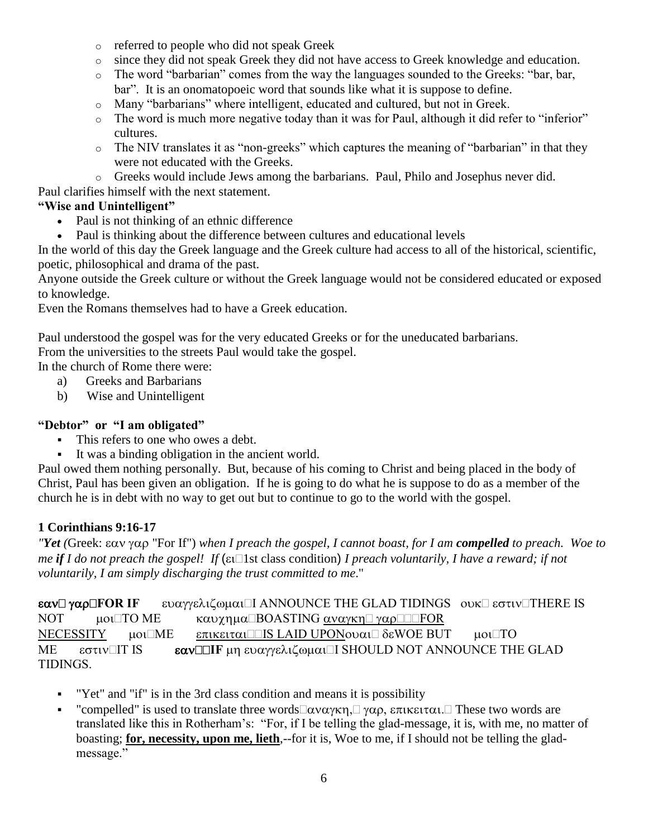- o referred to people who did not speak Greek
- o since they did not speak Greek they did not have access to Greek knowledge and education.
- o The word "barbarian" comes from the way the languages sounded to the Greeks: "bar, bar, bar". It is an onomatopoeic word that sounds like what it is suppose to define.
- o Many "barbarians" where intelligent, educated and cultured, but not in Greek.
- o The word is much more negative today than it was for Paul, although it did refer to "inferior" cultures.
- o The NIV translates it as "non-greeks" which captures the meaning of "barbarian" in that they were not educated with the Greeks.
- o Greeks would include Jews among the barbarians. Paul, Philo and Josephus never did.

Paul clarifies himself with the next statement.

# **"Wise and Unintelligent"**

- Paul is not thinking of an ethnic difference
- Paul is thinking about the difference between cultures and educational levels

In the world of this day the Greek language and the Greek culture had access to all of the historical, scientific, poetic, philosophical and drama of the past.

Anyone outside the Greek culture or without the Greek language would not be considered educated or exposed to knowledge.

Even the Romans themselves had to have a Greek education.

Paul understood the gospel was for the very educated Greeks or for the uneducated barbarians. From the universities to the streets Paul would take the gospel.

In the church of Rome there were:

- a) Greeks and Barbarians
- b) Wise and Unintelligent

## **"Debtor" or "I am obligated"**

- This refers to one who owes a debt.
- It was a binding obligation in the ancient world.

Paul owed them nothing personally. But, because of his coming to Christ and being placed in the body of Christ, Paul has been given an obligation. If he is going to do what he is suppose to do as a member of the church he is in debt with no way to get out but to continue to go to the world with the gospel.

## **1 Corinthians 9:16-17**

*"Yet* (Greek: εαν γαρ "For If") when I preach the gospel, I cannot boast, for I am **compelled** to preach. Woe to *me if I* do not preach the gospel! If ( $\epsilon$ u: 1st class condition) *I* preach voluntarily, *I* have a reward; if not *voluntarily, I am simply discharging the trust committed to me*."

**εαν**  $\gamma$ αρ **FOR IF** ευαγγελιζωμαι Ι ANNOUNCE THE GLAD TIDINGS ouk εστιν THERE IS NOT  $\mu$  0  $\Box$  TO ME  $\alpha$   $\alpha$   $\gamma$   $\eta$   $\mu$   $\alpha$   $\Box$  BOASTING  $\alpha$  $\gamma$  $\alpha$  $\gamma$  $\alpha$  $\gamma$  $\Box$  $\Box$  FOR NECESSITY  $\mu o \Box ME = \epsilon \pi \iota \kappa \epsilon \iota \tau \alpha \iota \Box \Box S$  LAID UPON $o \nu \alpha \iota \Box \delta \epsilon WOE$  BUT  $\mu o \iota \Box TO$ ME εστιν<sup>η</sup> IS **εαν IIF** μη ευαγγελιζωμαι **ISHOULD NOT ANNOUNCE** THE GLAD TIDINGS.

- "Yet" and "if" is in the 3rd class condition and means it is possibility
- "compelled" is used to translate three words  $\Box \alpha \nu \alpha \gamma \kappa \eta$ ,  $\Box \gamma \alpha \rho$ ,  $\epsilon \pi \iota \kappa \epsilon \iota \tau \alpha \iota$ . These two words are translated like this in Rotherham's: "For, if I be telling the glad-message, it is, with me, no matter of boasting; **for, necessity, upon me, lieth**,--for it is, Woe to me, if I should not be telling the gladmessage."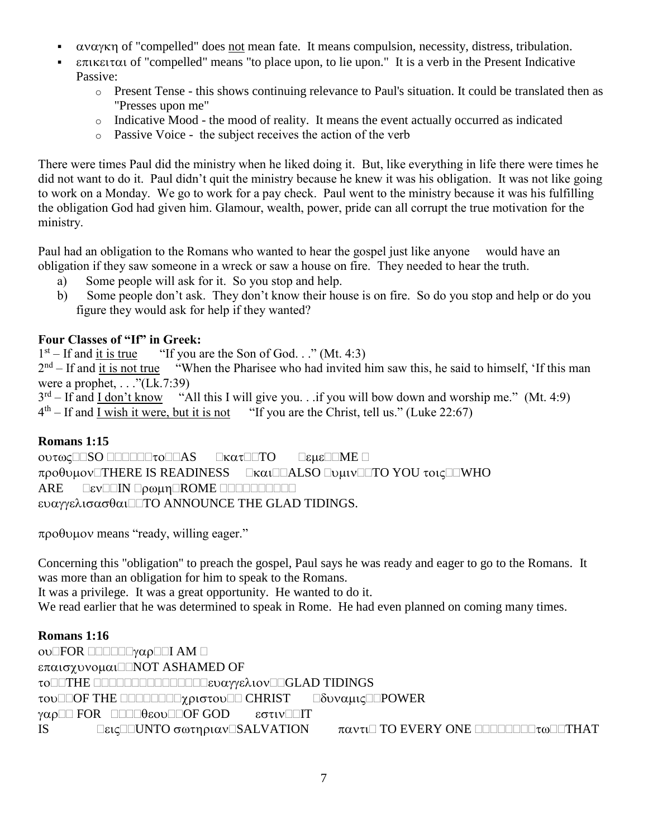- $αναγκη$  of "compelled" does not mean fate. It means compulsion, necessity, distress, tribulation.
- $\epsilon$ πικειται of "compelled" means "to place upon, to lie upon." It is a verb in the Present Indicative Passive:
	- o Present Tense this shows continuing relevance to Paul's situation. It could be translated then as "Presses upon me"
	- $\circ$  Indicative Mood the mood of reality. It means the event actually occurred as indicated
	- o Passive Voice the subject receives the action of the verb

There were times Paul did the ministry when he liked doing it. But, like everything in life there were times he did not want to do it. Paul didn't quit the ministry because he knew it was his obligation. It was not like going to work on a Monday. We go to work for a pay check. Paul went to the ministry because it was his fulfilling the obligation God had given him. Glamour, wealth, power, pride can all corrupt the true motivation for the ministry.

Paul had an obligation to the Romans who wanted to hear the gospel just like anyone would have an obligation if they saw someone in a wreck or saw a house on fire. They needed to hear the truth.

- a) Some people will ask for it. So you stop and help.
- b) Some people don't ask. They don't know their house is on fire. So do you stop and help or do you figure they would ask for help if they wanted?

# **Four Classes of "If" in Greek:**

1 st "If you are the Son of God. . ." (Mt. 4:3)

 $2<sup>nd</sup> - If and it is not true "When the Pharisee who had invited him saw this, he said to himself, 'If this man$ were a prophet,  $\dots$  "(Lk.7:39)

3 rd "All this I will give you. . .if you will bow down and worship me." (Mt. 4:9)  $4^{\text{th}}$ "If you are the Christ, tell us." (Luke 22:67)

# **Romans 1:15**

OUTOCIESO ILLILLTOILLAS EKATILTO LEHELLME  $\pi \rho o \theta$  universed in Readiness and Languard Count and To You  $\tau o \tau \Box$  Then  $\theta$ ARE EEVELIN Looun ROME LEEDELEDE ευαγγελισασθαι $\square$ ΤΟ ANNOUNCE THE GLAD TIDINGS.

 $\pi$ po $\theta$ vµov means "ready, willing eager."

Concerning this "obligation" to preach the gospel, Paul says he was ready and eager to go to the Romans. It was more than an obligation for him to speak to the Romans.

It was a privilege. It was a great opportunity. He wanted to do it.

We read earlier that he was determined to speak in Rome. He had even planned on coming many times.

# **Romans 1:16**

 $ov$  $FOR$   $\Box$  $\Box$  $\Box$  $\gamma\alpha\rho$  $\Box$  $I$   $AM$   $\Box$ επαισχυνομαι<sup>Π</sup>ΝΟΤ ASHAMED OF TO THE GOOD COLORED COMPROVE SOUTHERN TIDINGS TOU **OF THE COOLOGY ACTO CHRIST** COUNCILLE POWER γαρ<sup>Π</sup> FOR ΠΠΠθεουΠΟF GOD εστινΠΠ IS  $\Box$  EUCOUNTO  $\sigma \omega$ tnou $\alpha$ v $\Box$ SALVATION  $\pi \alpha$ vtu $\Box$  TO EVERY ONE  $\Box$  $\Box$  $\Box$  $\Box$  $\Box$  $\Box$ THAT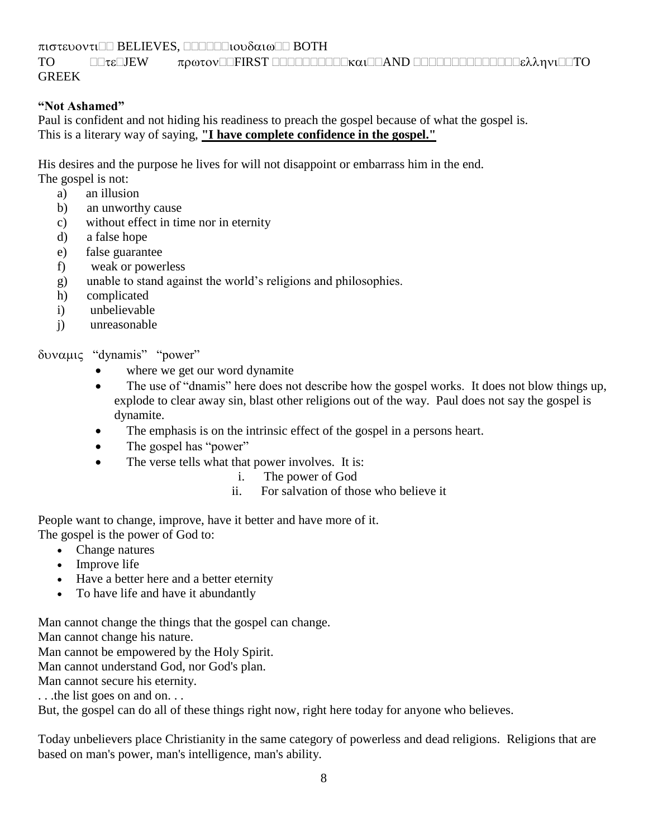$\pi$ ιστευοντι $\square \square$  BELIEVES,  $\square \square \square \square \square$ ιουδαιω $\square \square$  BOTH

TO JEW FIRST AND TO GREEK

## **"Not Ashamed"**

Paul is confident and not hiding his readiness to preach the gospel because of what the gospel is. This is a literary way of saying, **"I have complete confidence in the gospel."**

His desires and the purpose he lives for will not disappoint or embarrass him in the end. The gospel is not:

- a) an illusion
- b) an unworthy cause
- c) without effect in time nor in eternity
- d) a false hope
- e) false guarantee
- f) weak or powerless
- g) unable to stand against the world's religions and philosophies.
- h) complicated
- i) unbelievable
- j) unreasonable

δυναμις "dynamis" "power"

- where we get our word dynamite
- The use of "dnamis" here does not describe how the gospel works. It does not blow things up, explode to clear away sin, blast other religions out of the way. Paul does not say the gospel is dynamite.
- The emphasis is on the intrinsic effect of the gospel in a persons heart.
- The gospel has "power"
- The verse tells what that power involves. It is:
	- i. The power of God
	- ii. For salvation of those who believe it

People want to change, improve, have it better and have more of it. The gospel is the power of God to:

- Change natures
- Improve life
- Have a better here and a better eternity
- To have life and have it abundantly

Man cannot change the things that the gospel can change.

Man cannot change his nature.

Man cannot be empowered by the Holy Spirit.

Man cannot understand God, nor God's plan.

Man cannot secure his eternity.

. . .the list goes on and on. . .

But, the gospel can do all of these things right now, right here today for anyone who believes.

Today unbelievers place Christianity in the same category of powerless and dead religions. Religions that are based on man's power, man's intelligence, man's ability.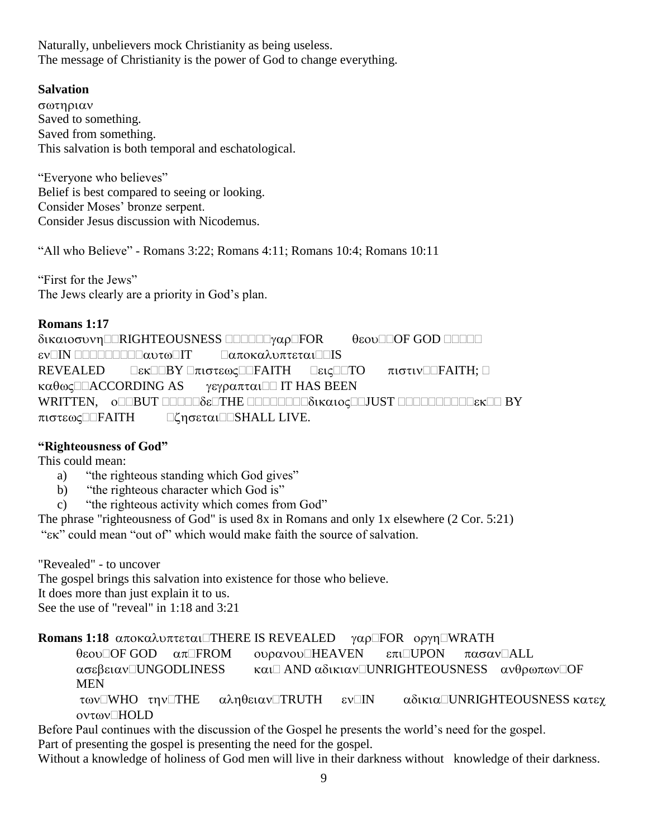Naturally, unbelievers mock Christianity as being useless. The message of Christianity is the power of God to change everything.

## **Salvation**

σωτηριαν Saved to something. Saved from something. This salvation is both temporal and eschatological.

"Everyone who believes" Belief is best compared to seeing or looking. Consider Moses' bronze serpent. Consider Jesus discussion with Nicodemus.

"All who Believe" - Romans 3:22; Romans 4:11; Romans 10:4; Romans 10:11

"First for the Jews" The Jews clearly are a priority in God's plan.

## **Romans 1:17**

δικαιοσυνη ΠRIGHTEOUSNESS ΠΠΟΠΟΥαρΠΕΟR θεουΠΟΕ GOD ΠΠΟΠΟ  $\epsilon$ V $\Box$ IN  $\Box$  $\Box$  $\Box$  $\Box\Box\Box\Box\Box\alpha$ vt $\omega$  $\Box$ IT  $\Box\alpha\pi$ οκαλυπτεται $\Box\Box$ IS REVEALED  $\Box$ εκ $\Box$  $\Box$ ΒΥ $\Box$ πιστεως $\Box\Box$ FAITH;  $\Box$   $\Box$ εις $\Box$  $\Box$ ΤΟ πιστιν $\Box$ ΓΑΙΤΗ;  $\Box$  $\kappa\alpha\theta\omega\zeta$  Δ ACCORDING AS γεγραπται Δ IT HAS BEEN WRITTEN,  $o\square$ BUT  $\square\square\square\square\square\delta\varepsilon\square$ THE  $\square\square\square\square\square\delta$ ukato $c\square\square$ JUST  $\square\square\square\square\square\square\square\square\square\square\square\square\square\square$ BY πιστεωςΠΠΕΑΙΤΗ ΠζησεταιΠΠSHALL LIVE.

## **"Righteousness of God"**

This could mean:

- a) "the righteous standing which God gives"
- b) "the righteous character which God is"
- c) "the righteous activity which comes from God"

The phrase "righteousness of God" is used 8x in Romans and only 1x elsewhere (2 Cor. 5:21) "Ex" could mean "out of" which would make faith the source of salvation."

"Revealed" - to uncover The gospel brings this salvation into existence for those who believe. It does more than just explain it to us. See the use of "reveal" in 1:18 and 3:21

**Romans 1:18** αποκαλυπτεται<sup>[</sup>THERE IS REVEALED γαρ<sup>[</sup>FOR oργη<sup>[WRATH]</sup>

 $\theta$ εου $\Box$ OF GOD  $\alpha \pi \Box$ FROM ουρανου $\Box$ HEAVEN επι $\Box$ UPON πασαν $\Box$ ALL  $\alpha$ σεβειαν $\square$ UNGODLINESS και $\square$  AND  $\alpha$ δικιαν $\square$ UNRIGHTEOUSNESS ανθρωπων $\square$ OF MEN των $\square$ WHO την $\square$ THE  $\alpha\lambda$ ηθειαν $\square$ TRUTH εν $\square$ IN  $\alpha\delta$ ικι $\alpha\square$ UNRIGHTEOUSNESS κατεχ

oντων□HOLD

Before Paul continues with the discussion of the Gospel he presents the world's need for the gospel. Part of presenting the gospel is presenting the need for the gospel.

Without a knowledge of holiness of God men will live in their darkness without knowledge of their darkness.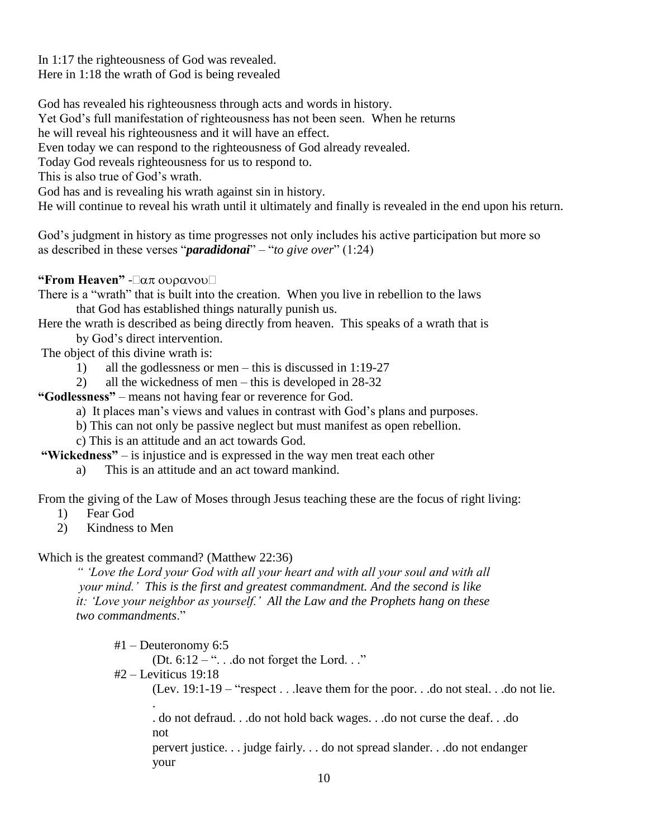In 1:17 the righteousness of God was revealed. Here in 1:18 the wrath of God is being revealed

God has revealed his righteousness through acts and words in history.

Yet God's full manifestation of righteousness has not been seen. When he returns

he will reveal his righteousness and it will have an effect.

Even today we can respond to the righteousness of God already revealed.

Today God reveals righteousness for us to respond to.

This is also true of God's wrath.

God has and is revealing his wrath against sin in history.

He will continue to reveal his wrath until it ultimately and finally is revealed in the end upon his return.

God's judgment in history as time progresses not only includes his active participation but more so as described in these verses "*paradidonai*" – "*to give over*" (1:24)

**"From Heaven"** -

There is a "wrath" that is built into the creation. When you live in rebellion to the laws that God has established things naturally punish us.

Here the wrath is described as being directly from heaven. This speaks of a wrath that is by God's direct intervention.

The object of this divine wrath is:

1) all the godlessness or men – this is discussed in 1:19-27

2) all the wickedness of men – this is developed in 28-32

**"Godlessness"** – means not having fear or reverence for God.

a) It places man's views and values in contrast with God's plans and purposes.

b) This can not only be passive neglect but must manifest as open rebellion.

c) This is an attitude and an act towards God.

**"Wickedness"** – is injustice and is expressed in the way men treat each other

a) This is an attitude and an act toward mankind.

From the giving of the Law of Moses through Jesus teaching these are the focus of right living:

1) Fear God

2) Kindness to Men

Which is the greatest command? (Matthew 22:36)

*" 'Love the Lord your God with all your heart and with all your soul and with all your mind.' This is the first and greatest commandment. And the second is like it: 'Love your neighbor as yourself.' All the Law and the Prophets hang on these two commandments*."

 #1 – Deuteronomy 6:5 (Dt.  $6:12 -$ " $\dots$  do not forget the Lord.  $\dots$ " #2 – Leviticus 19:18 (Lev. 19:1-19 – "respect . . .leave them for the poor. . .do not steal. . .do not lie. . . do not defraud. . .do not hold back wages. . .do not curse the deaf. . .do not pervert justice. . . judge fairly. . . do not spread slander. . .do not endanger your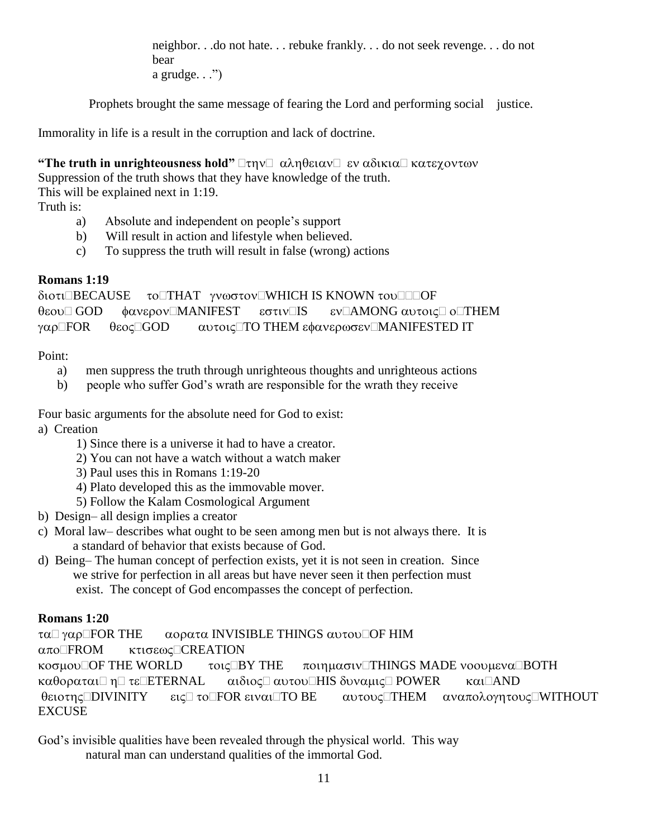neighbor. . .do not hate. . . rebuke frankly. . . do not seek revenge. . . do not bear a grudge.  $\ldots$ ")

Prophets brought the same message of fearing the Lord and performing social justice.

Immorality in life is a result in the corruption and lack of doctrine.

**"The truth in unrighteousness hold"**  $\Box \tau \eta v \Box \alpha \lambda \eta \theta \epsilon \iota \alpha v \Box \epsilon v \alpha \delta \iota \kappa \iota \alpha \Box \kappa \alpha \tau \epsilon \gamma \iota \iota \nu \alpha v$ Suppression of the truth shows that they have knowledge of the truth. This will be explained next in 1:19. Truth is:

- a) Absolute and independent on people's support
- b) Will result in action and lifestyle when believed.
- c) To suppress the truth will result in false (wrong) actions

## **Romans 1:19**

διοτι<sup>Π</sup>BECAUSE τοΠΗΑΤ γνωστονΠWHICH IS KNOWN τουΠΠΟΕ  $\theta$ εου $\Box$  GOD  $\phi$ ανερον $\Box$ MANIFEST εστιν $\Box$ IS εν $\Box$ AMONG αυτοις $\Box$  ο $\Box$ THEM γαρ $\square$ FOR  $\theta$ εος $\square$ GOD  $\alpha$ υτοις $\square$ TO THEM εφανερωσεν $\square$ MANIFESTED IT

## Point:

- a) men suppress the truth through unrighteous thoughts and unrighteous actions
- b) people who suffer God's wrath are responsible for the wrath they receive

Four basic arguments for the absolute need for God to exist:

- a) Creation
	- 1) Since there is a universe it had to have a creator.
	- 2) You can not have a watch without a watch maker
	- 3) Paul uses this in Romans 1:19-20
	- 4) Plato developed this as the immovable mover.
	- 5) Follow the Kalam Cosmological Argument
- b) Design– all design implies a creator
- c) Moral law– describes what ought to be seen among men but is not always there. It is a standard of behavior that exists because of God.
- d) Being– The human concept of perfection exists, yet it is not seen in creation. Since we strive for perfection in all areas but have never seen it then perfection must exist. The concept of God encompasses the concept of perfection.

## **Romans 1:20**

τα $\Box$  γαρ $\Box$  FOR THE  $\Box$  αορατα INVISIBLE THINGS αυτου $\Box$  OF HIM απο□FROM κτισεως□CREATION  $\kappa$ o $\sigma$ μου $\Box$ OF THE WORLD  $\sigma$  τοις  $\Box$ BY THE  $\sigma$  ποιημασιν $\Box$ THINGS MADE νοουμενα $\Box$ BOTH καθοραται□ η□ τε□ETERNAL aιδιος□ αυτου□HIS δυναμις□ POWER kαι□AND θειοτης **DIVINITY** εις το FOR ειναι ΤΟ ΒΕ αυτους THEM αναπολογητους WITHOUT **EXCUSE** 

God's invisible qualities have been revealed through the physical world. This way natural man can understand qualities of the immortal God.